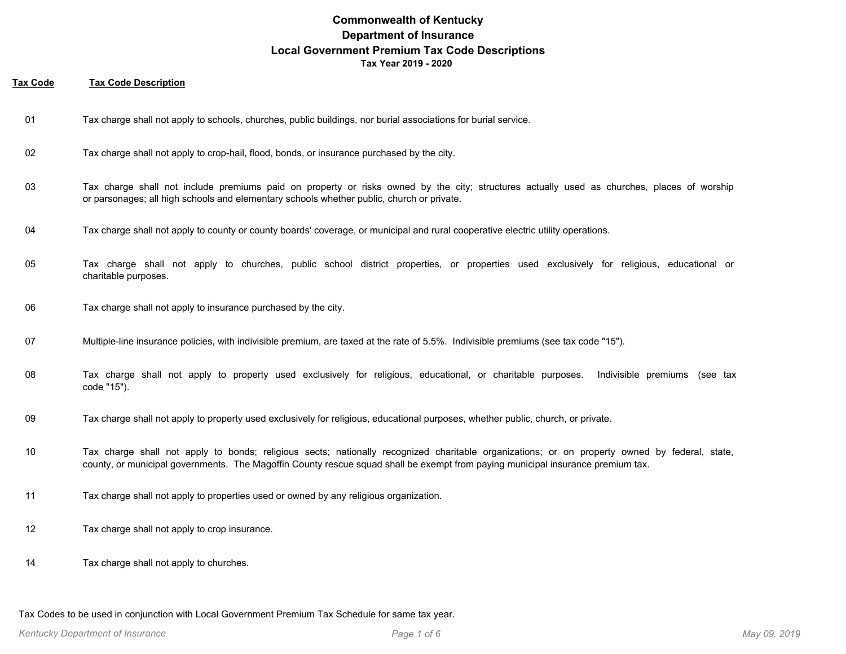#### **Tax Code Tax Code Description**

- 01 Tax charge shall not apply to schools, churches, public buildings, nor burial associations for burial service.
- 02 Tax charge shall not apply to crop-hail, flood, bonds, or insurance purchased by the city.
- Tax charge shall not include premiums paid on property or risks owned by the city; structures actually used as churches, places of worship or parsonages; all high schools and elementary schools whether public, church or private. 03
- 04 Tax charge shall not apply to county or county boards' coverage, or municipal and rural cooperative electric utility operations.
- Tax charge shall not apply to churches, public school district properties, or properties used exclusively for religious, educational or charitable purposes. 05
- 06 Tax charge shall not apply to insurance purchased by the city.
- 07 Multiple-line insurance policies, with indivisible premium, are taxed at the rate of 5.5%. Indivisible premiums (see tax code "15").
- Tax charge shall not apply to property used exclusively for religious, educational, or charitable purposes. Indivisible premiums (see tax code "15"). 08
- 09 Tax charge shall not apply to property used exclusively for religious, educational purposes, whether public, church, or private.
- Tax charge shall not apply to bonds; religious sects; nationally recognized charitable organizations; or on property owned by federal, state, county, or municipal governments. The Magoffin County rescue squad shall be exempt from paying municipal insurance premium tax. 10
- 11 Tax charge shall not apply to properties used or owned by any religious organization.
- 12 Tax charge shall not apply to crop insurance.
- 14 Tax charge shall not apply to churches.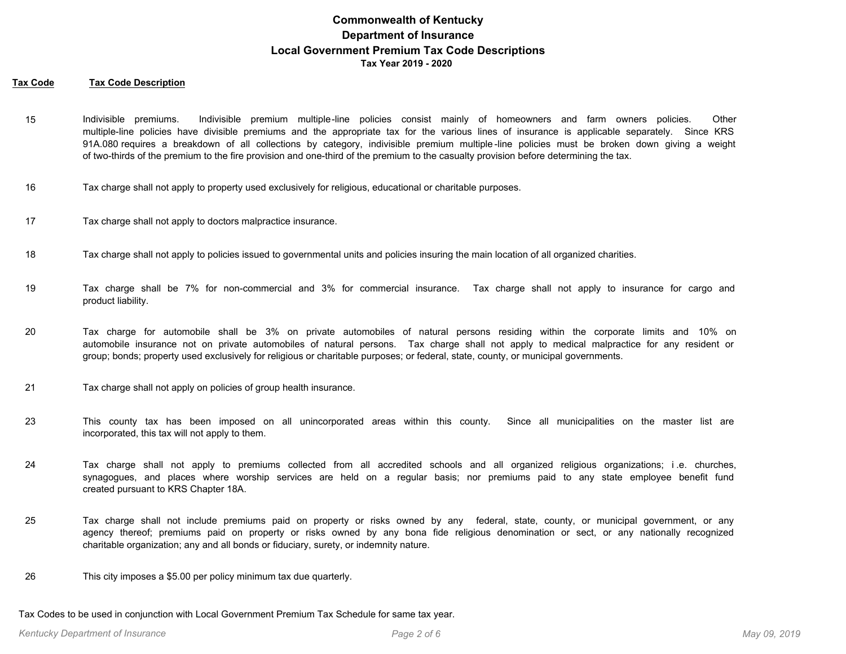#### **Tax Code Tax Code Description**

- Indivisible premiums. Indivisible premium multiple-line policies consist mainly of homeowners and farm owners policies. Other multiple-line policies have divisible premiums and the appropriate tax for the various lines of insurance is applicable separately. Since KRS 91A.080 requires a breakdown of all collections by category, indivisible premium multiple -line policies must be broken down giving a weight of two-thirds of the premium to the fire provision and one-third of the premium to the casualty provision before determining the tax. 15
- 16 Tax charge shall not apply to property used exclusively for religious, educational or charitable purposes.
- 17 Tax charge shall not apply to doctors malpractice insurance.
- 18 Tax charge shall not apply to policies issued to governmental units and policies insuring the main location of all organized charities.
- Tax charge shall be 7% for non-commercial and 3% for commercial insurance. Tax charge shall not apply to insurance for cargo and product liability. 19
- Tax charge for automobile shall be 3% on private automobiles of natural persons residing within the corporate limits and 10% on automobile insurance not on private automobiles of natural persons. Tax charge shall not apply to medical malpractice for any resident or group; bonds; property used exclusively for religious or charitable purposes; or federal, state, county, or municipal governments. 20
- 21 Tax charge shall not apply on policies of group health insurance.
- This county tax has been imposed on all unincorporated areas within this county. Since all municipalities on the master list are incorporated, this tax will not apply to them. 23
- Tax charge shall not apply to premiums collected from all accredited schools and all organized religious organizations; i .e. churches, synagogues, and places where worship services are held on a regular basis; nor premiums paid to any state employee benefit fund created pursuant to KRS Chapter 18A. 24
- Tax charge shall not include premiums paid on property or risks owned by any federal, state, county, or municipal government, or any agency thereof; premiums paid on property or risks owned by any bona fide religious denomination or sect, or any nationally recognized charitable organization; any and all bonds or fiduciary, surety, or indemnity nature. 25
- 26 This city imposes a \$5.00 per policy minimum tax due quarterly.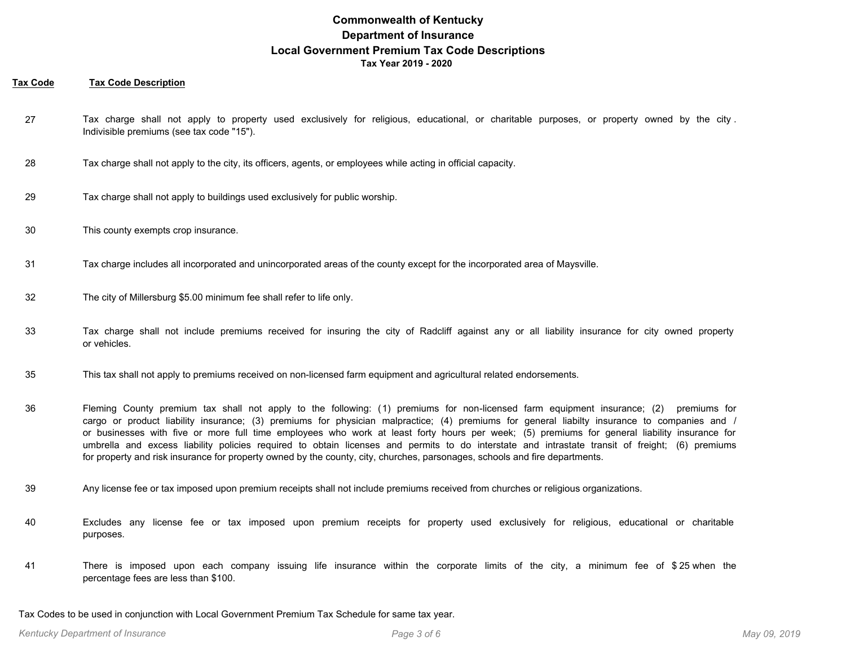### **Tax Code Tax Code Description**

- Tax charge shall not apply to property used exclusively for religious, educational, or charitable purposes, or property owned by the city . Indivisible premiums (see tax code "15"). 27
- 28 Tax charge shall not apply to the city, its officers, agents, or employees while acting in official capacity.
- 29 Tax charge shall not apply to buildings used exclusively for public worship.
- 30 This county exempts crop insurance.
- 31 Tax charge includes all incorporated and unincorporated areas of the county except for the incorporated area of Maysville.
- 32 The city of Millersburg \$5.00 minimum fee shall refer to life only.
- Tax charge shall not include premiums received for insuring the city of Radcliff against any or all liability insurance for city owned property or vehicles. 33
- 35 This tax shall not apply to premiums received on non-licensed farm equipment and agricultural related endorsements.
- Fleming County premium tax shall not apply to the following: (1) premiums for non-licensed farm equipment insurance; (2) premiums for cargo or product liability insurance; (3) premiums for physician malpractice; (4) premiums for general liabilty insurance to companies and / or businesses with five or more full time employees who work at least forty hours per week; (5) premiums for general liability insurance for umbrella and excess liability policies required to obtain licenses and permits to do interstate and intrastate transit of freight; (6) premiums for property and risk insurance for property owned by the county, city, churches, parsonages, schools and fire departments. 36
- 39 Any license fee or tax imposed upon premium receipts shall not include premiums received from churches or religious organizations.
- Excludes any license fee or tax imposed upon premium receipts for property used exclusively for religious, educational or charitable purposes. 40
- There is imposed upon each company issuing life insurance within the corporate limits of the city, a minimum fee of \$ 25 when the percentage fees are less than \$100. 41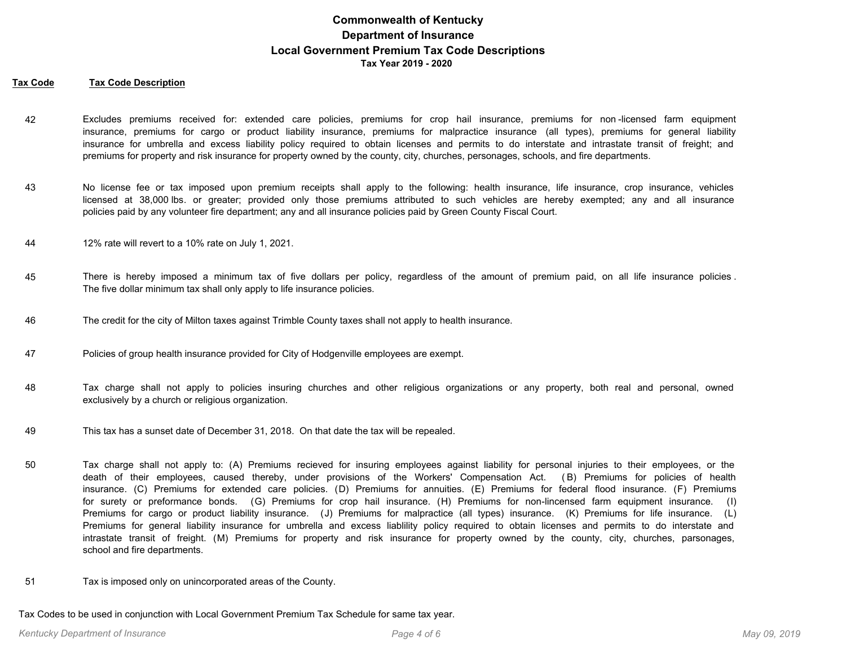#### **Tax Code Tax Code Description**

- Excludes premiums received for: extended care policies, premiums for crop hail insurance, premiums for non -licensed farm equipment insurance, premiums for cargo or product liability insurance, premiums for malpractice insurance (all types), premiums for general liability insurance for umbrella and excess liability policy required to obtain licenses and permits to do interstate and intrastate transit of freight; and premiums for property and risk insurance for property owned by the county, city, churches, personages, schools, and fire departments. 42
- No license fee or tax imposed upon premium receipts shall apply to the following: health insurance, life insurance, crop insurance, vehicles licensed at 38,000 lbs. or greater; provided only those premiums attributed to such vehicles are hereby exempted; any and all insurance policies paid by any volunteer fire department; any and all insurance policies paid by Green County Fiscal Court. 43
- 44 12% rate will revert to a 10% rate on July 1, 2021.
- There is hereby imposed a minimum tax of five dollars per policy, regardless of the amount of premium paid, on all life insurance policies . The five dollar minimum tax shall only apply to life insurance policies. 45
- 46 The credit for the city of Milton taxes against Trimble County taxes shall not apply to health insurance.
- 47 Policies of group health insurance provided for City of Hodgenville employees are exempt.
- Tax charge shall not apply to policies insuring churches and other religious organizations or any property, both real and personal, owned exclusively by a church or religious organization. 48
- 49 This tax has a sunset date of December 31, 2018. On that date the tax will be repealed.
- Tax charge shall not apply to: (A) Premiums recieved for insuring employees against liability for personal injuries to their employees, or the death of their employees, caused thereby, under provisions of the Workers' Compensation Act. ( B) Premiums for policies of health insurance. (C) Premiums for extended care policies. (D) Premiums for annuities. (E) Premiums for federal flood insurance. (F) Premiums for surety or preformance bonds. (G) Premiums for crop hail insurance. (H) Premiums for non-lincensed farm equipment insurance. (I) Premiums for cargo or product liability insurance. (J) Premiums for malpractice (all types) insurance. (K) Premiums for life insurance. (L) Premiums for general liability insurance for umbrella and excess liablility policy required to obtain licenses and permits to do interstate and intrastate transit of freight. (M) Premiums for property and risk insurance for property owned by the county, city, churches, parsonages, school and fire departments. 50
- 51 Tax is imposed only on unincorporated areas of the County.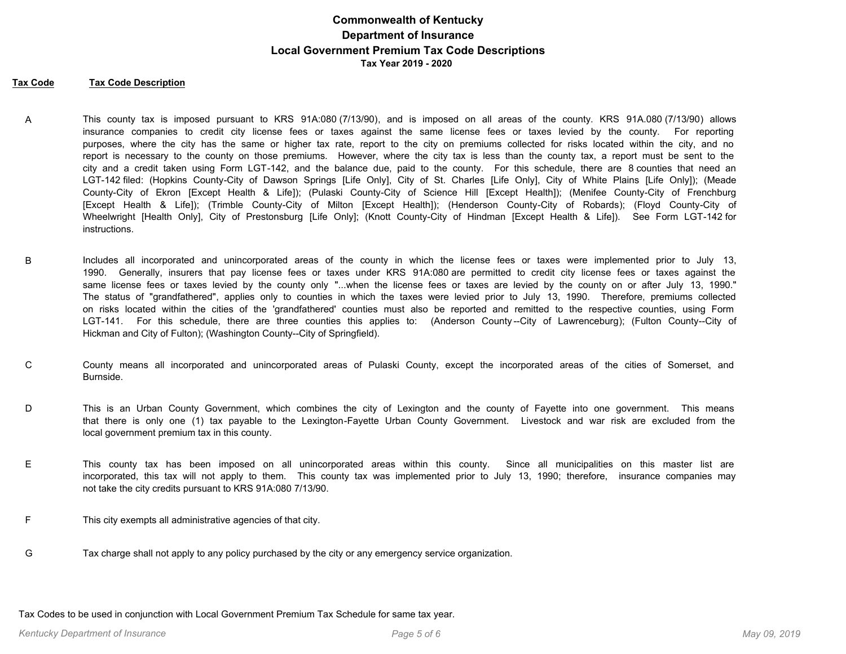#### **Tax Code Tax Code Description**

- This county tax is imposed pursuant to KRS 91A:080 (7/13/90), and is imposed on all areas of the county. KRS 91A.080 (7/13/90) allows insurance companies to credit city license fees or taxes against the same license fees or taxes levied by the county. For reporting purposes, where the city has the same or higher tax rate, report to the city on premiums collected for risks located within the city, and no report is necessary to the county on those premiums. However, where the city tax is less than the county tax, a report must be sent to the city and a credit taken using Form LGT-142, and the balance due, paid to the county. For this schedule, there are 8 counties that need an LGT-142 filed: (Hopkins County-City of Dawson Springs [Life Only], City of St. Charles [Life Only], City of White Plains [Life Only]); (Meade County-City of Ekron [Except Health & Life]); (Pulaski County-City of Science Hill [Except Health]); (Menifee County-City of Frenchburg [Except Health & Life]); (Trimble County-City of Milton [Except Health]); (Henderson County-City of Robards); (Floyd County-City of Wheelwright [Health Only], City of Prestonsburg [Life Only]; (Knott County-City of Hindman [Except Health & Life]). See Form LGT-142 for instructions. A
- Includes all incorporated and unincorporated areas of the county in which the license fees or taxes were implemented prior to July 13, 1990. Generally, insurers that pay license fees or taxes under KRS 91A:080 are permitted to credit city license fees or taxes against the same license fees or taxes levied by the county only "...when the license fees or taxes are levied by the county on or after July 13, 1990." The status of "grandfathered", applies only to counties in which the taxes were levied prior to July 13, 1990. Therefore, premiums collected on risks located within the cities of the 'grandfathered' counties must also be reported and remitted to the respective counties, using Form LGT-141. For this schedule, there are three counties this applies to: (Anderson County--City of Lawrenceburg); (Fulton County--City of Hickman and City of Fulton); (Washington County--City of Springfield). B
- County means all incorporated and unincorporated areas of Pulaski County, except the incorporated areas of the cities of Somerset, and Burnside. C
- This is an Urban County Government, which combines the city of Lexington and the county of Fayette into one government. This means that there is only one (1) tax payable to the Lexington-Fayette Urban County Government. Livestock and war risk are excluded from the local government premium tax in this county. D
- This county tax has been imposed on all unincorporated areas within this county. Since all municipalities on this master list are incorporated, this tax will not apply to them. This county tax was implemented prior to July 13, 1990; therefore, insurance companies may not take the city credits pursuant to KRS 91A:080 7/13/90. E
- F This city exempts all administrative agencies of that city.
- G Tax charge shall not apply to any policy purchased by the city or any emergency service organization.